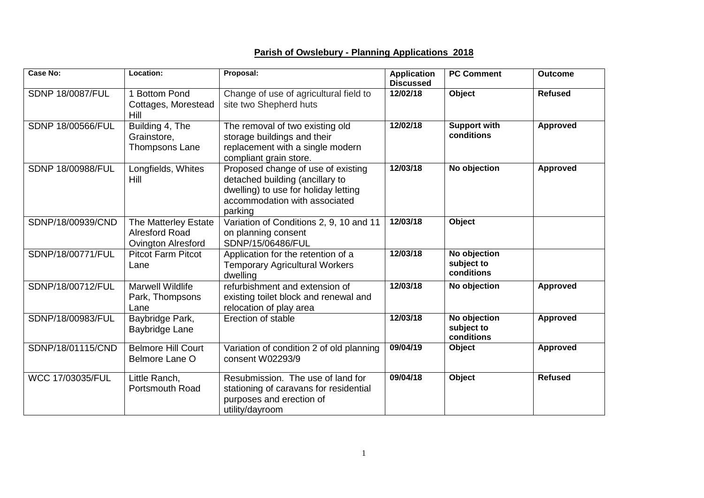## **Parish of Owslebury - Planning Applications 2018**

| <b>Case No:</b>          | Location:                                                                  | Proposal:                                                                                                                                                 | <b>Application</b><br><b>Discussed</b> | <b>PC Comment</b>                        | <b>Outcome</b>  |
|--------------------------|----------------------------------------------------------------------------|-----------------------------------------------------------------------------------------------------------------------------------------------------------|----------------------------------------|------------------------------------------|-----------------|
| <b>SDNP 18/0087/FUL</b>  | 1 Bottom Pond<br>Cottages, Morestead<br>Hill                               | Change of use of agricultural field to<br>site two Shepherd huts                                                                                          | 12/02/18                               | Object                                   | <b>Refused</b>  |
| <b>SDNP 18/00566/FUL</b> | Building 4, The<br>Grainstore,<br>Thompsons Lane                           | The removal of two existing old<br>storage buildings and their<br>replacement with a single modern<br>compliant grain store.                              | 12/02/18                               | <b>Support with</b><br>conditions        | <b>Approved</b> |
| SDNP 18/00988/FUL        | Longfields, Whites<br>Hill                                                 | Proposed change of use of existing<br>detached building (ancillary to<br>dwelling) to use for holiday letting<br>accommodation with associated<br>parking | 12/03/18                               | No objection                             | <b>Approved</b> |
| SDNP/18/00939/CND        | The Matterley Estate<br><b>Alresford Road</b><br><b>Ovington Alresford</b> | Variation of Conditions 2, 9, 10 and 11<br>on planning consent<br>SDNP/15/06486/FUL                                                                       | 12/03/18                               | Object                                   |                 |
| SDNP/18/00771/FUL        | <b>Pitcot Farm Pitcot</b><br>Lane                                          | Application for the retention of a<br><b>Temporary Agricultural Workers</b><br>dwelling                                                                   | 12/03/18                               | No objection<br>subject to<br>conditions |                 |
| SDNP/18/00712/FUL        | <b>Marwell Wildlife</b><br>Park, Thompsons<br>Lane                         | refurbishment and extension of<br>existing toilet block and renewal and<br>relocation of play area                                                        | 12/03/18                               | No objection                             | <b>Approved</b> |
| SDNP/18/00983/FUL        | Baybridge Park,<br>Baybridge Lane                                          | Erection of stable                                                                                                                                        | 12/03/18                               | No objection<br>subject to<br>conditions | <b>Approved</b> |
| SDNP/18/01115/CND        | <b>Belmore Hill Court</b><br>Belmore Lane O                                | Variation of condition 2 of old planning<br>consent W02293/9                                                                                              | 09/04/19                               | Object                                   | <b>Approved</b> |
| WCC 17/03035/FUL         | Little Ranch,<br><b>Portsmouth Road</b>                                    | Resubmission. The use of land for<br>stationing of caravans for residential<br>purposes and erection of<br>utility/dayroom                                | 09/04/18                               | Object                                   | <b>Refused</b>  |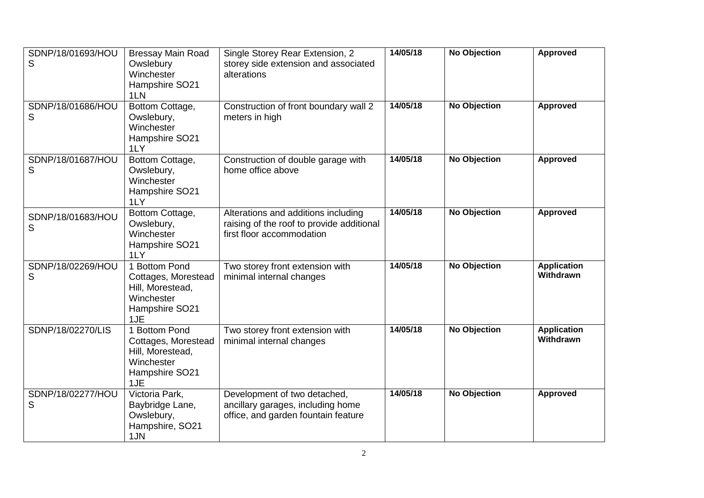| SDNP/18/01693/HOU<br>S | <b>Bressay Main Road</b><br>Owslebury<br>Winchester<br>Hampshire SO21<br>1LN                    | Single Storey Rear Extension, 2<br>storey side extension and associated<br>alterations                        | 14/05/18 | <b>No Objection</b> | <b>Approved</b>                        |
|------------------------|-------------------------------------------------------------------------------------------------|---------------------------------------------------------------------------------------------------------------|----------|---------------------|----------------------------------------|
| SDNP/18/01686/HOU<br>S | Bottom Cottage,<br>Owslebury,<br>Winchester<br>Hampshire SO21<br>1LY                            | Construction of front boundary wall 2<br>meters in high                                                       | 14/05/18 | <b>No Objection</b> | <b>Approved</b>                        |
| SDNP/18/01687/HOU<br>S | Bottom Cottage,<br>Owslebury,<br>Winchester<br>Hampshire SO21<br>1LY                            | Construction of double garage with<br>home office above                                                       | 14/05/18 | <b>No Objection</b> | <b>Approved</b>                        |
| SDNP/18/01683/HOU<br>S | Bottom Cottage,<br>Owslebury,<br>Winchester<br>Hampshire SO21<br>1LY                            | Alterations and additions including<br>raising of the roof to provide additional<br>first floor accommodation | 14/05/18 | <b>No Objection</b> | <b>Approved</b>                        |
| SDNP/18/02269/HOU<br>S | 1 Bottom Pond<br>Cottages, Morestead<br>Hill, Morestead,<br>Winchester<br>Hampshire SO21<br>1JE | Two storey front extension with<br>minimal internal changes                                                   | 14/05/18 | <b>No Objection</b> | <b>Application</b><br><b>Withdrawn</b> |
| SDNP/18/02270/LIS      | 1 Bottom Pond<br>Cottages, Morestead<br>Hill, Morestead,<br>Winchester<br>Hampshire SO21<br>1JE | Two storey front extension with<br>minimal internal changes                                                   | 14/05/18 | <b>No Objection</b> | <b>Application</b><br><b>Withdrawn</b> |
| SDNP/18/02277/HOU<br>S | Victoria Park,<br>Baybridge Lane,<br>Owslebury,<br>Hampshire, SO21<br>1JN                       | Development of two detached,<br>ancillary garages, including home<br>office, and garden fountain feature      | 14/05/18 | No Objection        | <b>Approved</b>                        |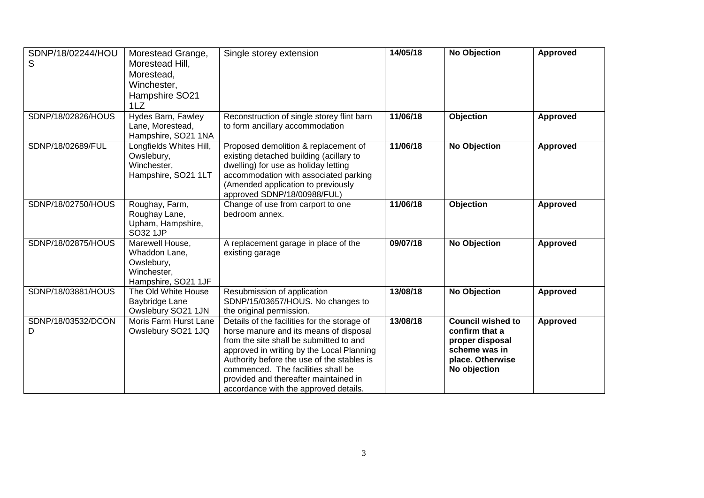| SDNP/18/02244/HOU<br>S  | Morestead Grange,<br>Morestead Hill,<br>Morestead,<br>Winchester,<br>Hampshire SO21<br>1LZ | Single storey extension                                                                                                                                                                                                                                                                                                                              | 14/05/18 | <b>No Objection</b>                                                                                                | <b>Approved</b> |
|-------------------------|--------------------------------------------------------------------------------------------|------------------------------------------------------------------------------------------------------------------------------------------------------------------------------------------------------------------------------------------------------------------------------------------------------------------------------------------------------|----------|--------------------------------------------------------------------------------------------------------------------|-----------------|
| SDNP/18/02826/HOUS      | Hydes Barn, Fawley<br>Lane, Morestead,<br>Hampshire, SO21 1NA                              | Reconstruction of single storey flint barn<br>to form ancillary accommodation                                                                                                                                                                                                                                                                        | 11/06/18 | Objection                                                                                                          | <b>Approved</b> |
| SDNP/18/02689/FUL       | Longfields Whites Hill,<br>Owslebury,<br>Winchester,<br>Hampshire, SO21 1LT                | Proposed demolition & replacement of<br>existing detached building (acillary to<br>dwelling) for use as holiday letting<br>accommodation with associated parking<br>(Amended application to previously<br>approved SDNP/18/00988/FUL)                                                                                                                | 11/06/18 | <b>No Objection</b>                                                                                                | <b>Approved</b> |
| SDNP/18/02750/HOUS      | Roughay, Farm,<br>Roughay Lane,<br>Upham, Hampshire,<br>SO32 1JP                           | Change of use from carport to one<br>bedroom annex.                                                                                                                                                                                                                                                                                                  | 11/06/18 | Objection                                                                                                          | <b>Approved</b> |
| SDNP/18/02875/HOUS      | Marewell House,<br>Whaddon Lane,<br>Owslebury,<br>Winchester,<br>Hampshire, SO21 1JF       | A replacement garage in place of the<br>existing garage                                                                                                                                                                                                                                                                                              | 09/07/18 | <b>No Objection</b>                                                                                                | <b>Approved</b> |
| SDNP/18/03881/HOUS      | The Old White House<br>Baybridge Lane<br>Owslebury SO21 1JN                                | Resubmission of application<br>SDNP/15/03657/HOUS. No changes to<br>the original permission.                                                                                                                                                                                                                                                         | 13/08/18 | <b>No Objection</b>                                                                                                | <b>Approved</b> |
| SDNP/18/03532/DCON<br>D | Moris Farm Hurst Lane<br>Owslebury SO21 1JQ                                                | Details of the facilities for the storage of<br>horse manure and its means of disposal<br>from the site shall be submitted to and<br>approved in writing by the Local Planning<br>Authority before the use of the stables is<br>commenced. The facilities shall be<br>provided and thereafter maintained in<br>accordance with the approved details. | 13/08/18 | <b>Council wished to</b><br>confirm that a<br>proper disposal<br>scheme was in<br>place. Otherwise<br>No objection | <b>Approved</b> |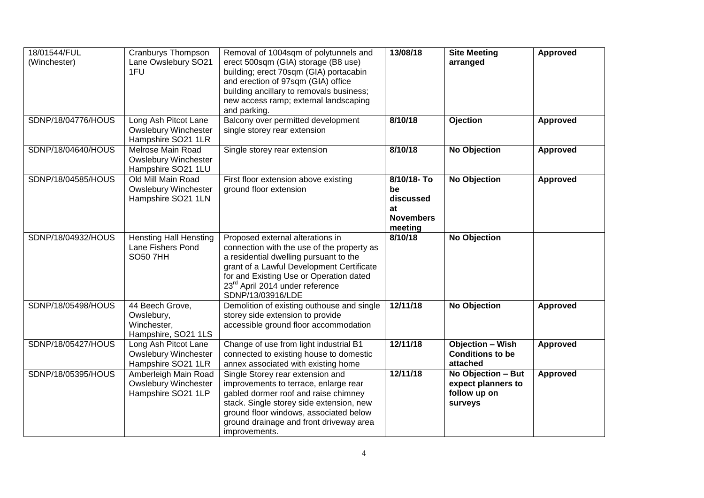| 18/01544/FUL<br>(Winchester) | Cranburys Thompson<br>Lane Owslebury SO21<br>1FU                          | Removal of 1004sqm of polytunnels and<br>erect 500sqm (GIA) storage (B8 use)<br>building; erect 70sqm (GIA) portacabin<br>and erection of 97sqm (GIA) office<br>building ancillary to removals business;<br>new access ramp; external landscaping<br>and parking.                    | 13/08/18                                                           | <b>Site Meeting</b><br>arranged                                     | <b>Approved</b> |
|------------------------------|---------------------------------------------------------------------------|--------------------------------------------------------------------------------------------------------------------------------------------------------------------------------------------------------------------------------------------------------------------------------------|--------------------------------------------------------------------|---------------------------------------------------------------------|-----------------|
| SDNP/18/04776/HOUS           | Long Ash Pitcot Lane<br><b>Owslebury Winchester</b><br>Hampshire SO21 1LR | Balcony over permitted development<br>single storey rear extension                                                                                                                                                                                                                   | 8/10/18                                                            | <b>Ojection</b>                                                     | Approved        |
| SDNP/18/04640/HOUS           | Melrose Main Road<br><b>Owslebury Winchester</b><br>Hampshire SO21 1LU    | Single storey rear extension                                                                                                                                                                                                                                                         | 8/10/18                                                            | <b>No Objection</b>                                                 | Approved        |
| SDNP/18/04585/HOUS           | Old Mill Main Road<br><b>Owslebury Winchester</b><br>Hampshire SO21 1LN   | First floor extension above existing<br>ground floor extension                                                                                                                                                                                                                       | 8/10/18-To<br>be<br>discussed<br>at<br><b>Novembers</b><br>meeting | <b>No Objection</b>                                                 | <b>Approved</b> |
| SDNP/18/04932/HOUS           | <b>Hensting Hall Hensting</b><br>Lane Fishers Pond<br><b>SO50 7HH</b>     | Proposed external alterations in<br>connection with the use of the property as<br>a residential dwelling pursuant to the<br>grant of a Lawful Development Certificate<br>for and Existing Use or Operation dated<br>23 <sup>rd</sup> April 2014 under reference<br>SDNP/13/03916/LDE | 8/10/18                                                            | No Objection                                                        |                 |
| SDNP/18/05498/HOUS           | 44 Beech Grove,<br>Owslebury,<br>Winchester,<br>Hampshire, SO21 1LS       | Demolition of existing outhouse and single<br>storey side extension to provide<br>accessible ground floor accommodation                                                                                                                                                              | 12/11/18                                                           | <b>No Objection</b>                                                 | <b>Approved</b> |
| SDNP/18/05427/HOUS           | Long Ash Pitcot Lane<br><b>Owslebury Winchester</b><br>Hampshire SO21 1LR | Change of use from light industrial B1<br>connected to existing house to domestic<br>annex associated with existing home                                                                                                                                                             | 12/11/18                                                           | <b>Objection - Wish</b><br><b>Conditions to be</b><br>attached      | <b>Approved</b> |
| SDNP/18/05395/HOUS           | Amberleigh Main Road<br><b>Owslebury Winchester</b><br>Hampshire SO21 1LP | Single Storey rear extension and<br>improvements to terrace, enlarge rear<br>gabled dormer roof and raise chimney<br>stack. Single storey side extension, new<br>ground floor windows, associated below<br>ground drainage and front driveway area<br>improvements.                  | 12/11/18                                                           | No Objection - But<br>expect planners to<br>follow up on<br>surveys | <b>Approved</b> |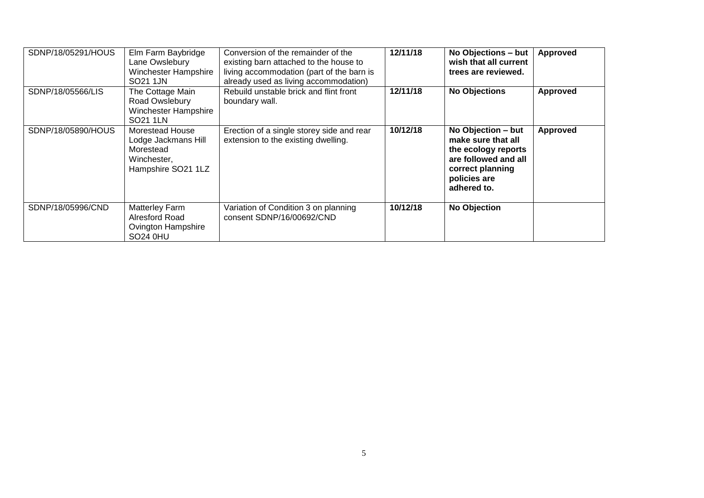| SDNP/18/05291/HOUS | Elm Farm Baybridge<br>Lane Owslebury<br>Winchester Hampshire<br>SO21 1JN                 | Conversion of the remainder of the<br>existing barn attached to the house to<br>living accommodation (part of the barn is<br>already used as living accommodation) | 12/11/18 | No Objections - but<br>wish that all current<br>trees are reviewed.                                                                        | <b>Approved</b> |
|--------------------|------------------------------------------------------------------------------------------|--------------------------------------------------------------------------------------------------------------------------------------------------------------------|----------|--------------------------------------------------------------------------------------------------------------------------------------------|-----------------|
| SDNP/18/05566/LIS  | The Cottage Main<br>Road Owslebury<br>Winchester Hampshire<br>SO21 1LN                   | Rebuild unstable brick and flint front<br>boundary wall.                                                                                                           | 12/11/18 | <b>No Objections</b>                                                                                                                       | <b>Approved</b> |
| SDNP/18/05890/HOUS | Morestead House<br>Lodge Jackmans Hill<br>Morestead<br>Winchester,<br>Hampshire SO21 1LZ | Erection of a single storey side and rear<br>extension to the existing dwelling.                                                                                   | 10/12/18 | No Objection - but<br>make sure that all<br>the ecology reports<br>are followed and all<br>correct planning<br>policies are<br>adhered to. | <b>Approved</b> |
| SDNP/18/05996/CND  | Matterley Farm<br>Alresford Road<br><b>Ovington Hampshire</b><br><b>SO24 0HU</b>         | Variation of Condition 3 on planning<br>consent SDNP/16/00692/CND                                                                                                  | 10/12/18 | <b>No Objection</b>                                                                                                                        |                 |